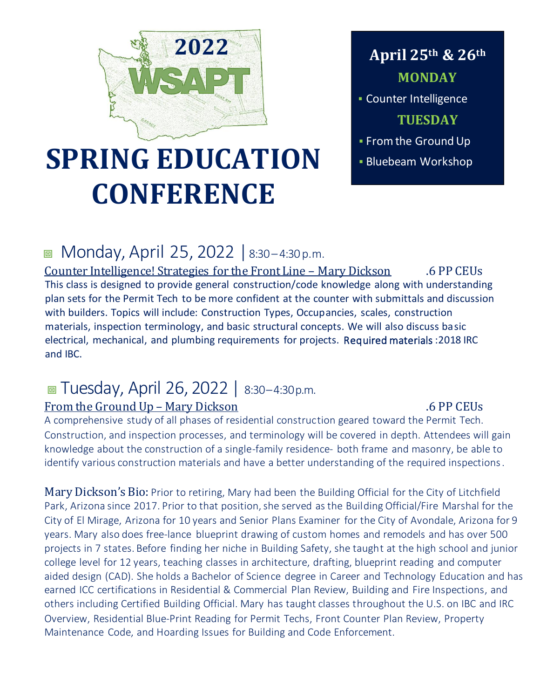

## **April 25th & 26th MONDAY**

**E** Counter Intelligence **TUESDAY**

**· From the Ground Up** 

# **SPRING EDUCATION Explore EDUCATION CONFERENCE**

## ■ Monday, April 25, 2022 | 8:30-4:30 p.m.

Counter Intelligence! Strategies for the Front Line – Mary Dickson .6 PP CEUs This class is designed to provide general construction/code knowledge along with understanding plan sets for the Permit Tech to be more confident at the counter with submittals and discussion with builders. Topics will include: Construction Types, Occupancies, scales, construction materials, inspection terminology, and basic structural concepts. We will also discuss basic electrical, mechanical, and plumbing requirements for projects. Required materials :2018 IRC and IBC.

## Tuesday, April 26, 2022 | 8:30–4:30p.m.

## From the Ground Up – Mary Dickson .6 PP CEUs

A comprehensive study of all phases of residential construction geared toward the Permit Tech. Construction, and inspection processes, and terminology will be covered in depth. Attendees will gain knowledge about the construction of a single-family residence- both frame and masonry, be able to identify various construction materials and have a better understanding of the required inspections.

Mary Dickson's Bio: Prior to retiring, Mary had been the Building Official for the City of Litchfield Park, Arizona since 2017. Prior to that position, she served as the Building Official/Fire Marshal for the City of El Mirage, Arizona for 10 years and Senior Plans Examiner for the City of Avondale, Arizona for 9 years. Mary also does free-lance blueprint drawing of custom homes and remodels and has over 500 projects in 7 states. Before finding her niche in Building Safety, she taught at the high school and junior college level for 12 years, teaching classes in architecture, drafting, blueprint reading and computer aided design (CAD). She holds a Bachelor of Science degree in Career and Technology Education and has earned ICC certifications in Residential & Commercial Plan Review, Building and Fire Inspections, and others including Certified Building Official. Mary has taught classes throughout the U.S. on IBC and IRC Overview, Residential Blue-Print Reading for Permit Techs, Front Counter Plan Review, Property Maintenance Code, and Hoarding Issues for Building and Code Enforcement.